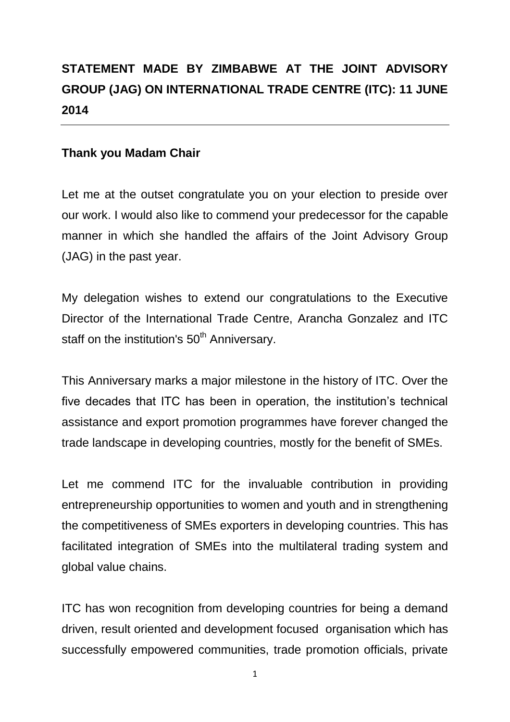## **STATEMENT MADE BY ZIMBABWE AT THE JOINT ADVISORY GROUP (JAG) ON INTERNATIONAL TRADE CENTRE (ITC): 11 JUNE 2014**

## **Thank you Madam Chair**

Let me at the outset congratulate you on your election to preside over our work. I would also like to commend your predecessor for the capable manner in which she handled the affairs of the Joint Advisory Group (JAG) in the past year.

My delegation wishes to extend our congratulations to the Executive Director of the International Trade Centre, Arancha Gonzalez and ITC staff on the institution's 50<sup>th</sup> Anniversary.

This Anniversary marks a major milestone in the history of ITC. Over the five decades that ITC has been in operation, the institution's technical assistance and export promotion programmes have forever changed the trade landscape in developing countries, mostly for the benefit of SMEs.

Let me commend ITC for the invaluable contribution in providing entrepreneurship opportunities to women and youth and in strengthening the competitiveness of SMEs exporters in developing countries. This has facilitated integration of SMEs into the multilateral trading system and global value chains.

ITC has won recognition from developing countries for being a demand driven, result oriented and development focused organisation which has successfully empowered communities, trade promotion officials, private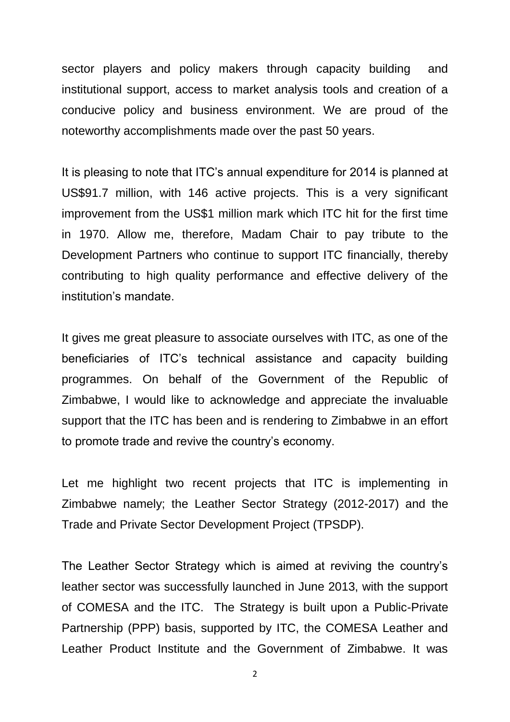sector players and policy makers through capacity building and institutional support, access to market analysis tools and creation of a conducive policy and business environment. We are proud of the noteworthy accomplishments made over the past 50 years.

It is pleasing to note that ITC's annual expenditure for 2014 is planned at US\$91.7 million, with 146 active projects. This is a very significant improvement from the US\$1 million mark which ITC hit for the first time in 1970. Allow me, therefore, Madam Chair to pay tribute to the Development Partners who continue to support ITC financially, thereby contributing to high quality performance and effective delivery of the institution's mandate.

It gives me great pleasure to associate ourselves with ITC, as one of the beneficiaries of ITC's technical assistance and capacity building programmes. On behalf of the Government of the Republic of Zimbabwe, I would like to acknowledge and appreciate the invaluable support that the ITC has been and is rendering to Zimbabwe in an effort to promote trade and revive the country's economy.

Let me highlight two recent projects that ITC is implementing in Zimbabwe namely; the Leather Sector Strategy (2012-2017) and the Trade and Private Sector Development Project (TPSDP).

The Leather Sector Strategy which is aimed at reviving the country's leather sector was successfully launched in June 2013, with the support of COMESA and the ITC. The Strategy is built upon a Public-Private Partnership (PPP) basis, supported by ITC, the COMESA Leather and Leather Product Institute and the Government of Zimbabwe. It was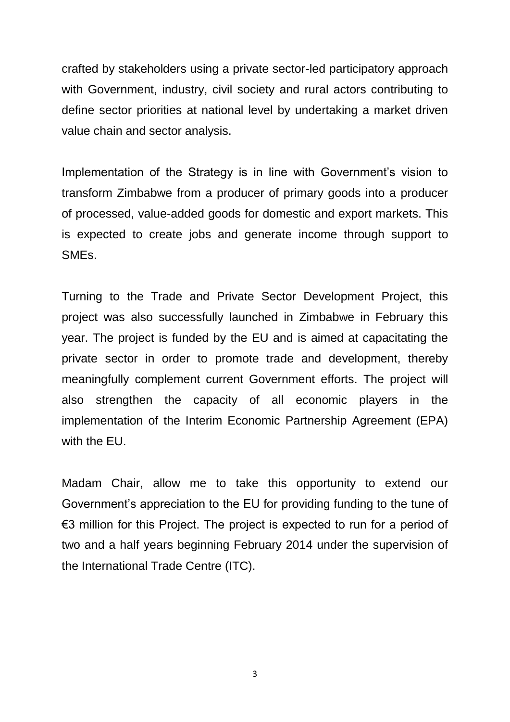crafted by stakeholders using a private sector-led participatory approach with Government, industry, civil society and rural actors contributing to define sector priorities at national level by undertaking a market driven value chain and sector analysis.

Implementation of the Strategy is in line with Government's vision to transform Zimbabwe from a producer of primary goods into a producer of processed, value-added goods for domestic and export markets. This is expected to create jobs and generate income through support to SMEs.

Turning to the Trade and Private Sector Development Project, this project was also successfully launched in Zimbabwe in February this year. The project is funded by the EU and is aimed at capacitating the private sector in order to promote trade and development, thereby meaningfully complement current Government efforts. The project will also strengthen the capacity of all economic players in the implementation of the Interim Economic Partnership Agreement (EPA) with the EU.

Madam Chair, allow me to take this opportunity to extend our Government's appreciation to the EU for providing funding to the tune of €3 million for this Project. The project is expected to run for a period of two and a half years beginning February 2014 under the supervision of the International Trade Centre (ITC).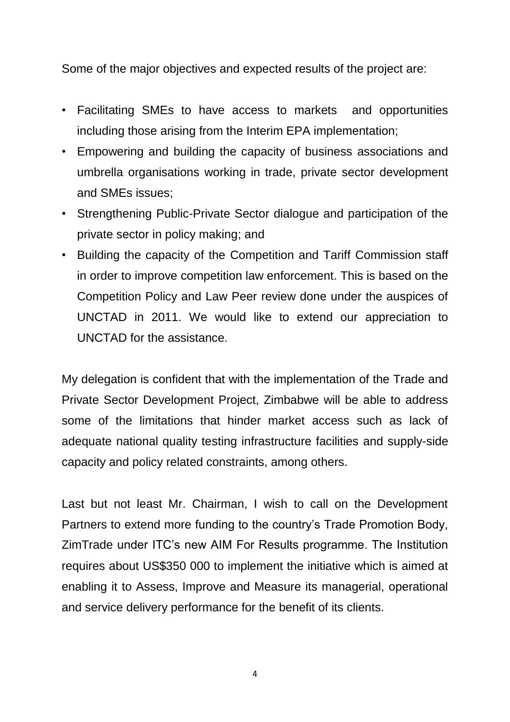Some of the major objectives and expected results of the project are:

- Facilitating SMEs to have access to markets and opportunities including those arising from the Interim EPA implementation;
- Empowering and building the capacity of business associations and umbrella organisations working in trade, private sector development and SMEs issues;
- Strengthening Public-Private Sector dialogue and participation of the private sector in policy making; and
- Building the capacity of the Competition and Tariff Commission staff in order to improve competition law enforcement. This is based on the Competition Policy and Law Peer review done under the auspices of UNCTAD in 2011. We would like to extend our appreciation to UNCTAD for the assistance.

My delegation is confident that with the implementation of the Trade and Private Sector Development Project, Zimbabwe will be able to address some of the limitations that hinder market access such as lack of adequate national quality testing infrastructure facilities and supply-side capacity and policy related constraints, among others.

Last but not least Mr. Chairman, I wish to call on the Development Partners to extend more funding to the country's Trade Promotion Body, ZimTrade under ITC's new AIM For Results programme. The Institution requires about US\$350 000 to implement the initiative which is aimed at enabling it to Assess, Improve and Measure its managerial, operational and service delivery performance for the benefit of its clients.